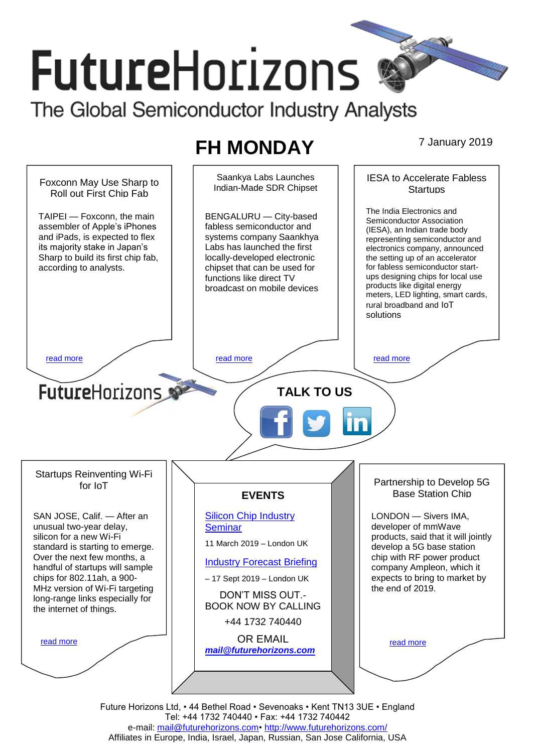# **FutureHorizons** The Global Semiconductor Industry Analysts

**FH MONDAY** 7 January 2019



Future Horizons Ltd, • 44 Bethel Road • Sevenoaks • Kent TN13 3UE • England Tel: +44 1732 740440 • Fax: +44 1732 740442 e-mail: [mail@futurehorizons.com•](../FH%20Monday%20-%202017/mail@futurehorizons.com)<http://www.futurehorizons.com/> Affiliates in Europe, India, Israel, Japan, Russian, San Jose California, USA